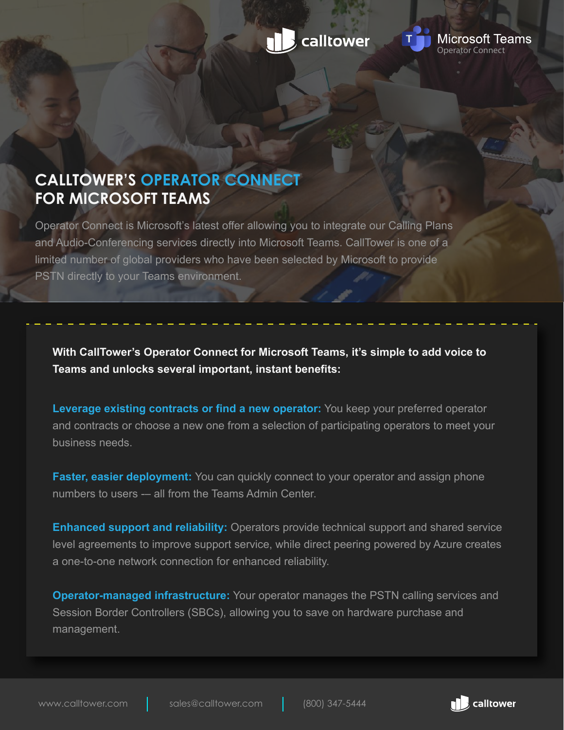



## **CALLTOWER'S OPERATOR CONNECT FOR MICROSOFT TEAMS**

Operator Connect is Microsoft's latest offer allowing you to integrate our Calling Plans and Audio-Conferencing services directly into Microsoft Teams. CallTower is one of a limited number of global providers who have been selected by Microsoft to provide PSTN directly to your Teams environment.

**With CallTower's Operator Connect for Microsoft Teams, it's simple to add voice to Teams and unlocks several important, instant benefits:** 

**Leverage existing contracts or find a new operator:** You keep your preferred operator and contracts or choose a new one from a selection of participating operators to meet your business needs.

**Faster, easier deployment:** You can quickly connect to your operator and assign phone numbers to users -– all from the Teams Admin Center.

**Enhanced support and reliability:** Operators provide technical support and shared service level agreements to improve support service, while direct peering powered by Azure creates a one-to-one network connection for enhanced reliability.

**Operator-managed infrastructure:** Your operator manages the PSTN calling services and Session Border Controllers (SBCs), allowing you to save on hardware purchase and management.

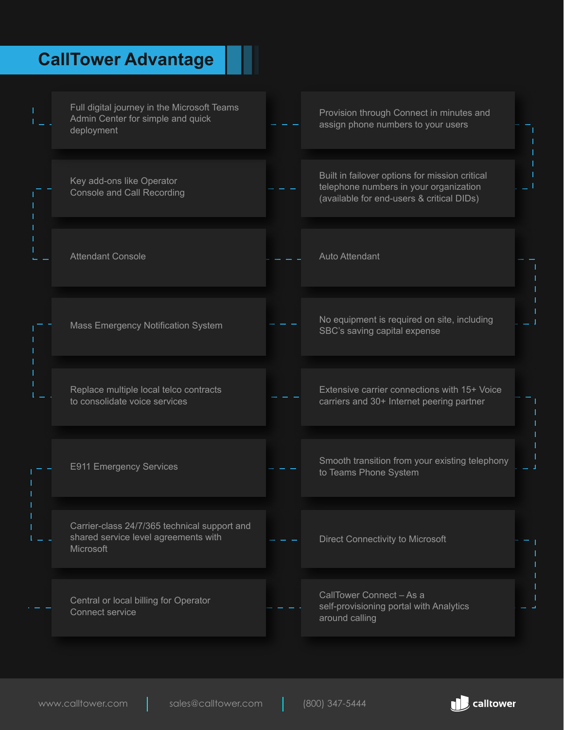# **CallTower Advantage**

| Full digital journey in the Microsoft Teams<br>Admin Center for simple and quick<br>deployment    | Provision through Connect in minutes and<br>assign phone numbers to your users                                                        |  |
|---------------------------------------------------------------------------------------------------|---------------------------------------------------------------------------------------------------------------------------------------|--|
| Key add-ons like Operator<br><b>Console and Call Recording</b>                                    | Built in failover options for mission critical<br>telephone numbers in your organization<br>(available for end-users & critical DIDs) |  |
| <b>Attendant Console</b>                                                                          | Auto Attendant                                                                                                                        |  |
| Mass Emergency Notification System                                                                | No equipment is required on site, including<br>SBC's saving capital expense                                                           |  |
| Replace multiple local telco contracts<br>to consolidate voice services                           | Extensive carrier connections with 15+ Voice<br>carriers and 30+ Internet peering partner                                             |  |
| <b>E911 Emergency Services</b>                                                                    | Smooth transition from your existing telephony<br>to Teams Phone System                                                               |  |
| Carrier-class 24/7/365 technical support and<br>shared service level agreements with<br>Microsoft | Direct Connectivity to Microsoft                                                                                                      |  |
| Central or local billing for Operator<br>Connect service                                          | CallTower Connect - As a<br>self-provisioning portal with Analytics<br>around calling                                                 |  |

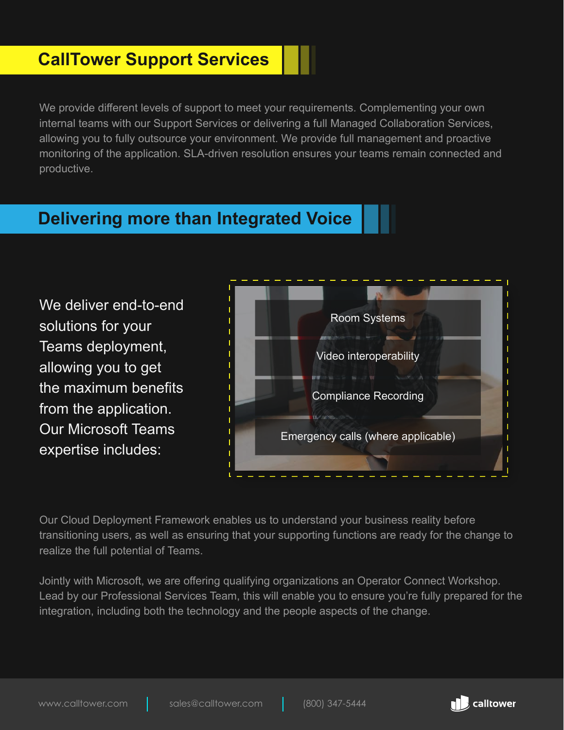### **CallTower Support Services**

We provide different levels of support to meet your requirements. Complementing your own internal teams with our Support Services or delivering a full Managed Collaboration Services, allowing you to fully outsource your environment. We provide full management and proactive monitoring of the application. SLA-driven resolution ensures your teams remain connected and productive.

### **Delivering more than Integrated Voice**

We deliver end-to-end solutions for your Teams deployment, allowing you to get the maximum benefits from the application. Our Microsoft Teams expertise includes:



Our Cloud Deployment Framework enables us to understand your business reality before transitioning users, as well as ensuring that your supporting functions are ready for the change to realize the full potential of Teams.

Jointly with Microsoft, we are offering qualifying organizations an Operator Connect Workshop. Lead by our Professional Services Team, this will enable you to ensure you're fully prepared for the integration, including both the technology and the people aspects of the change.

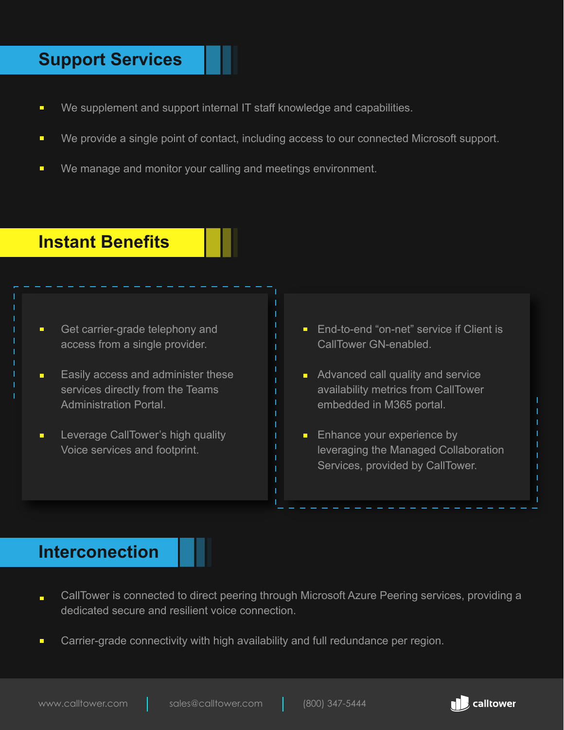### **Support Services**

- $\blacksquare$ We supplement and support internal IT staff knowledge and capabilities.
- We provide a single point of contact, including access to our connected Microsoft support.  $\blacksquare$
- We manage and monitor your calling and meetings environment.  $\blacksquare$

### **Instant Benefits**

- $\blacksquare$ Get carrier-grade telephony and access from a single provider.
- Easily access and administer these  $\blacksquare$ services directly from the Teams Administration Portal.
- Leverage CallTower's high quality  $\blacksquare$ Voice services and footprint.
- **End-to-end "on-net" service if Client is** CallTower GN-enabled.
- **Advanced call quality and service** availability metrics from CallTower embedded in M365 portal.
- $\blacksquare$  Enhance your experience by leveraging the Managed Collaboration Services, provided by CallTower.

### **Interconection**

- CallTower is connected to direct peering through Microsoft Azure Peering services, providing a  $\blacksquare$ dedicated secure and resilient voice connection.
- Carrier-grade connectivity with high availability and full redundance per region.  $\blacksquare$